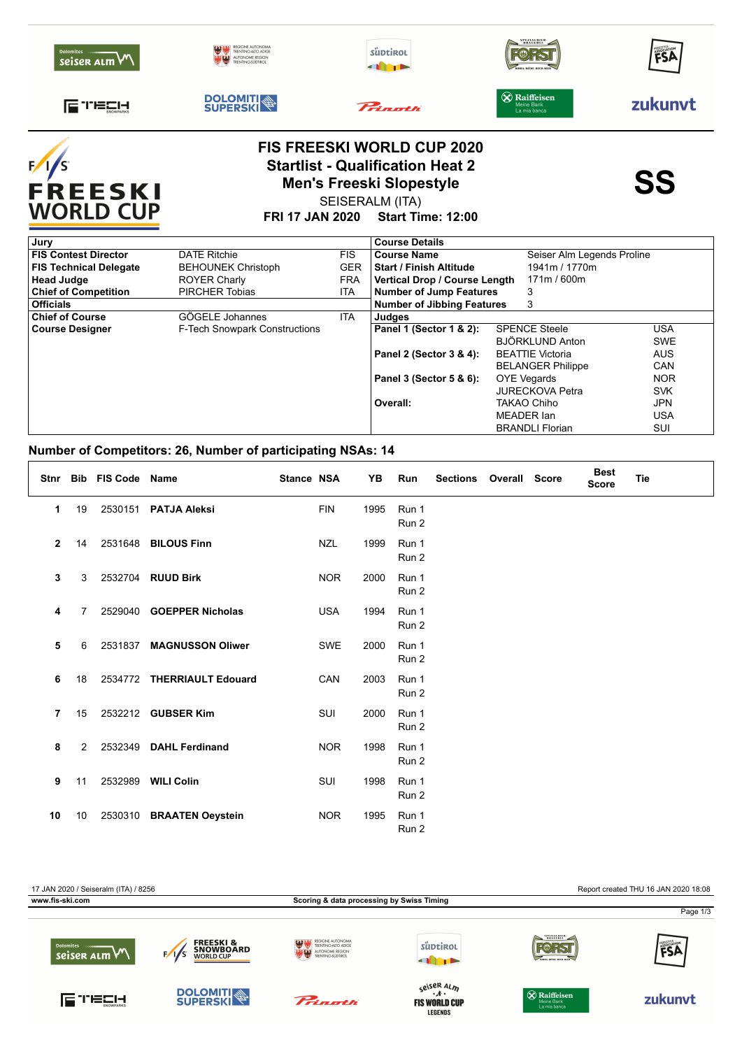|                                   |                                                                                        | <b>FIS FREESKI WORLD CUP 2020</b><br><b>Startlist - Qualification Heat 2</b><br><b>ALCOHOLOGY CONTRACTS AND RESIDENT</b> |                                                   | Q Q     |
|-----------------------------------|----------------------------------------------------------------------------------------|--------------------------------------------------------------------------------------------------------------------------|---------------------------------------------------|---------|
| FUELH                             | <b>DOLOMITI</b><br>SUPERSKI                                                            | Princetti                                                                                                                | <b>X</b> Raiffeisen<br>Meine Bank<br>La mia banca | zukunvt |
| <b>Dolomites</b><br>seiser alm VV | REGIONE AUTONOMA<br><b>TRENTINO-ALTO ADIGE</b><br>AUTONOME REGION<br>TRENTINO-SÜDTIROL | süptirol                                                                                                                 | <b>BRAUEREI</b>                                   | FSA     |

F FREESKI<br>WORLD CUP

## **Startlist - Qualification Heat 2**<br>
Men's Freeski Slopestyle<br>
SS SEISERALM (ITA)

**FRI 17 JAN 2020 Start Time: 12:00**

| Jury                                                           |            | <b>Course Details</b>             |                            |            |  |
|----------------------------------------------------------------|------------|-----------------------------------|----------------------------|------------|--|
| <b>FIS Contest Director</b><br><b>DATE Ritchie</b>             | <b>FIS</b> | <b>Course Name</b>                | Seiser Alm Legends Proline |            |  |
| <b>FIS Technical Delegate</b><br><b>BEHOUNEK Christoph</b>     | <b>GER</b> | <b>Start / Finish Altitude</b>    | 1941m / 1770m              |            |  |
| <b>Head Judge</b><br><b>ROYER Charly</b>                       | <b>FRA</b> | Vertical Drop / Course Length     | 171m / 600m                |            |  |
| <b>Chief of Competition</b><br><b>PIRCHER Tobias</b>           | ITA        | <b>Number of Jump Features</b>    | 3                          |            |  |
| <b>Officials</b>                                               |            | <b>Number of Jibbing Features</b> | 3                          |            |  |
| GÖGELE Johannes<br><b>Chief of Course</b>                      | <b>ITA</b> | Judges                            |                            |            |  |
| <b>F-Tech Snowpark Constructions</b><br><b>Course Designer</b> |            | Panel 1 (Sector 1 & 2):           | <b>SPENCE Steele</b>       | <b>USA</b> |  |
|                                                                |            |                                   | BJÖRKLUND Anton            | <b>SWE</b> |  |
|                                                                |            | Panel 2 (Sector 3 & 4):           | <b>BEATTIE Victoria</b>    | <b>AUS</b> |  |
|                                                                |            |                                   | <b>BELANGER Philippe</b>   | <b>CAN</b> |  |
|                                                                |            | Panel 3 (Sector 5 & 6):           | OYE Vegards                | <b>NOR</b> |  |
|                                                                |            |                                   | <b>JURECKOVA Petra</b>     | <b>SVK</b> |  |
|                                                                |            | Overall:                          | TAKAO Chiho                | <b>JPN</b> |  |
|                                                                |            |                                   | MEADER Ian                 | <b>USA</b> |  |
|                                                                |            |                                   | <b>BRANDLI Florian</b>     | SUI        |  |

## **Number of Competitors: 26, Number of participating NSAs: 14**

| Stnr           |                | <b>Bib FIS Code</b> | Name                       | <b>Stance NSA</b> |            | YΒ   | Run                       | <b>Sections</b> | <b>Overall Score</b> | <b>Best</b><br><b>Score</b> | Tie |
|----------------|----------------|---------------------|----------------------------|-------------------|------------|------|---------------------------|-----------------|----------------------|-----------------------------|-----|
| 1              | 19             | 2530151             | <b>PATJA Aleksi</b>        |                   | <b>FIN</b> | 1995 | Run 1<br>Run 2            |                 |                      |                             |     |
| $\overline{2}$ | 14             | 2531648             | <b>BILOUS Finn</b>         |                   | <b>NZL</b> | 1999 | Run 1<br>Run 2            |                 |                      |                             |     |
| 3              | 3              | 2532704             | <b>RUUD Birk</b>           |                   | <b>NOR</b> | 2000 | Run 1<br>Run 2            |                 |                      |                             |     |
| 4              | 7              | 2529040             | <b>GOEPPER Nicholas</b>    |                   | <b>USA</b> | 1994 | Run 1<br>Run 2            |                 |                      |                             |     |
| 5              | 6              | 2531837             | <b>MAGNUSSON Oliwer</b>    |                   | <b>SWE</b> | 2000 | Run 1<br>Run 2            |                 |                      |                             |     |
| 6              | 18             |                     | 2534772 THERRIAULT Edouard |                   | CAN        | 2003 | Run 1<br>Run 2            |                 |                      |                             |     |
| $\overline{7}$ | 15             |                     | 2532212 GUBSER Kim         |                   | SUI        | 2000 | Run 1<br>Run 2            |                 |                      |                             |     |
| 8              | $\overline{2}$ | 2532349             | <b>DAHL Ferdinand</b>      |                   | <b>NOR</b> | 1998 | Run 1<br>Run 2            |                 |                      |                             |     |
| 9              | 11             | 2532989             | <b>WILI Colin</b>          |                   | SUI        | 1998 | Run 1<br>Run 2            |                 |                      |                             |     |
| 10             | 10             | 2530310             | <b>BRAATEN Oeystein</b>    |                   | <b>NOR</b> | 1995 | Run 1<br>Run <sub>2</sub> |                 |                      |                             |     |

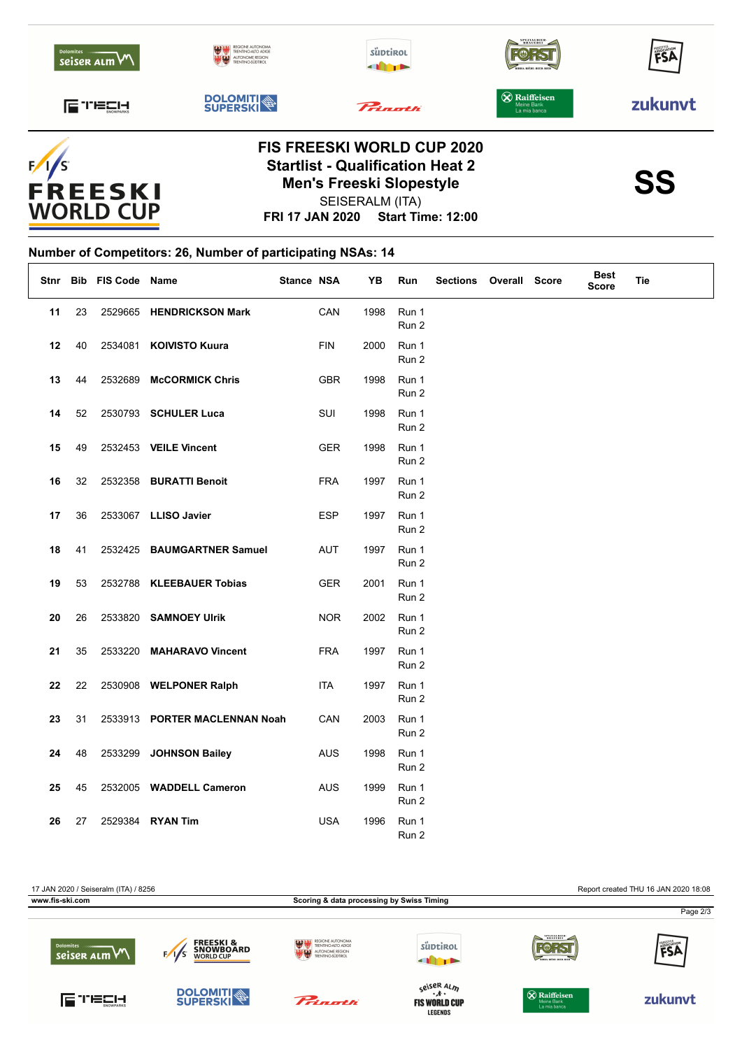| <b>Dolomites</b><br>seiser alm VV | REGIONE AUTONOMA<br>TRENTINO-ALTO ADIGE<br>AUTONOME REGION<br>TRENTINO-SÜDTIROL<br>u grad | süptirol<br>a p                   | SPEZIALBIER-<br>BIRRA-RIÈRE-BEER-BIER             | FSA     |  |  |
|-----------------------------------|-------------------------------------------------------------------------------------------|-----------------------------------|---------------------------------------------------|---------|--|--|
| FUELIT                            | <b>DOLOMITI</b>                                                                           | Princetti                         | <b>X</b> Raiffeisen<br>Meine Bank<br>La mia banca | zukunyt |  |  |
|                                   |                                                                                           | <b>FIS FREESKI WORLD CUP 2020</b> |                                                   |         |  |  |



## **FRI 17 JAN 2020 Start Time: 12:00 Startlist - Qualification Heat 2**<br>Men's Freeski Slopestyle<br>SS SEISERALM (ITA) **Men's Freeski Slopestyle**



## **Number of Competitors: 26, Number of participating NSAs: 14**  $\overline{1}$

|    |    | Stnr Bib FIS Code Name |                               | Stance NSA |            | YB   | Run            | Sections Overall Score |  | <b>Best</b><br><b>Score</b> | <b>Tie</b> |
|----|----|------------------------|-------------------------------|------------|------------|------|----------------|------------------------|--|-----------------------------|------------|
| 11 | 23 |                        | 2529665 HENDRICKSON Mark      |            | CAN        | 1998 | Run 1<br>Run 2 |                        |  |                             |            |
| 12 | 40 |                        | 2534081 KOIVISTO Kuura        |            | <b>FIN</b> | 2000 | Run 1<br>Run 2 |                        |  |                             |            |
| 13 | 44 | 2532689                | <b>McCORMICK Chris</b>        |            | <b>GBR</b> | 1998 | Run 1<br>Run 2 |                        |  |                             |            |
| 14 | 52 |                        | 2530793 SCHULER Luca          |            | SUI        | 1998 | Run 1<br>Run 2 |                        |  |                             |            |
| 15 | 49 |                        | 2532453 VEILE Vincent         |            | GER        | 1998 | Run 1<br>Run 2 |                        |  |                             |            |
| 16 | 32 |                        | 2532358 BURATTI Benoit        |            | <b>FRA</b> | 1997 | Run 1<br>Run 2 |                        |  |                             |            |
| 17 | 36 |                        | 2533067 LLISO Javier          |            | <b>ESP</b> | 1997 | Run 1<br>Run 2 |                        |  |                             |            |
| 18 | 41 |                        | 2532425 BAUMGARTNER Samuel    |            | AUT        | 1997 | Run 1<br>Run 2 |                        |  |                             |            |
| 19 | 53 |                        | 2532788 KLEEBAUER Tobias      |            | GER        | 2001 | Run 1<br>Run 2 |                        |  |                             |            |
| 20 | 26 |                        | 2533820 SAMNOEY Ulrik         |            | <b>NOR</b> | 2002 | Run 1<br>Run 2 |                        |  |                             |            |
| 21 | 35 |                        | 2533220 MAHARAVO Vincent      |            | <b>FRA</b> | 1997 | Run 1<br>Run 2 |                        |  |                             |            |
| 22 | 22 |                        | 2530908 WELPONER Ralph        |            | ITA        | 1997 | Run 1<br>Run 2 |                        |  |                             |            |
| 23 | 31 |                        | 2533913 PORTER MACLENNAN Noah |            | CAN        | 2003 | Run 1<br>Run 2 |                        |  |                             |            |
| 24 | 48 |                        | 2533299 JOHNSON Bailey        |            | <b>AUS</b> | 1998 | Run 1<br>Run 2 |                        |  |                             |            |
| 25 | 45 |                        | 2532005 WADDELL Cameron       |            | AUS        | 1999 | Run 1<br>Run 2 |                        |  |                             |            |
| 26 | 27 |                        | 2529384 RYAN Tim              |            | <b>USA</b> | 1996 | Run 1<br>Run 2 |                        |  |                             |            |

17 JAN 2020 / Seiseralm (ITA) / 8256 Report created THU 16 JAN 2020 18:08 **www.fis-ski.com Scoring & data processing by Swiss Timing** Page 2/3**FREESKI &<br>SNOWBOARD**<br>WORLD CUP süptirol **FOR ST** seiser ALM  $F/1/s$ **THEFT** s<sup>eiser Al</sup>m<br>**FIS WORLD CUP DOLOMITI** FUELI-Prinath **&** Raiffeisen zukunvt **LEGENDS**